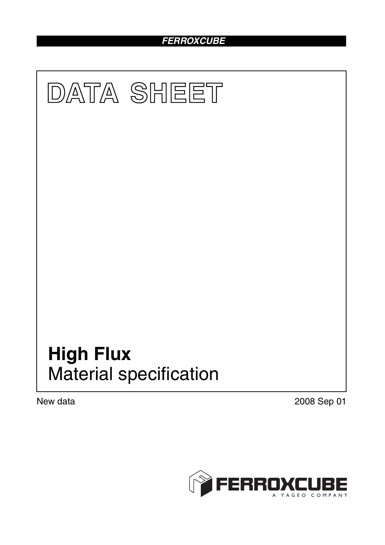# *FERROXCUBE*



New data 2008 Sep 01

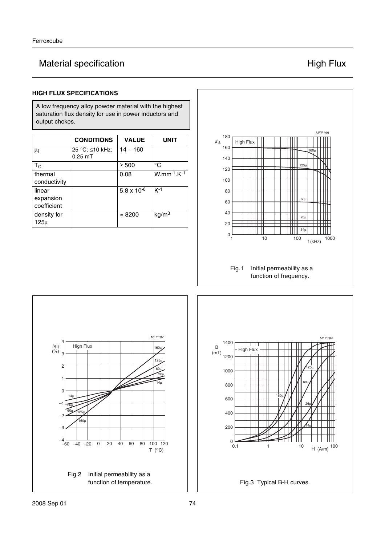# Material specification **Material specification High Flux**

### **HIGH FLUX SPECIFICATIONS**

A low frequency alloy powder material with the highest saturation flux density for use in power inductors and output chokes.

|                                    | <b>CONDITIONS</b>            | <b>VALUE</b>         | UNIT               |
|------------------------------------|------------------------------|----------------------|--------------------|
| $\mu_i$                            | 25 °C; ≤10 kHz;<br>$0.25$ mT | $14 - 160$           |                    |
| $T_{\rm C}$                        |                              | $\geq 500$           | °C                 |
| thermal<br>conductivity            |                              | 0.08                 | $W.mm^{-1}.K^{-1}$ |
| linear<br>expansion<br>coefficient |                              | $5.8 \times 10^{-6}$ | $K-1$              |
| density for<br>125μ                |                              | $\approx 8200$       | kg/m <sup>3</sup>  |



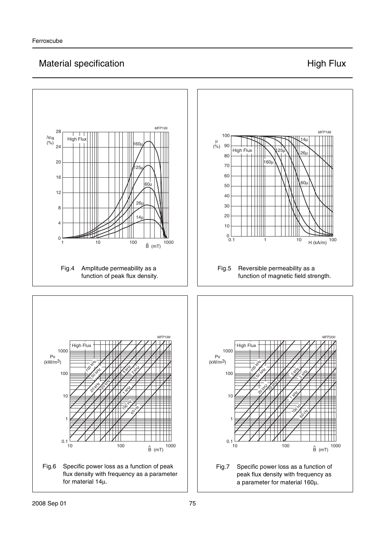## Material specification **Material specification High Flux**